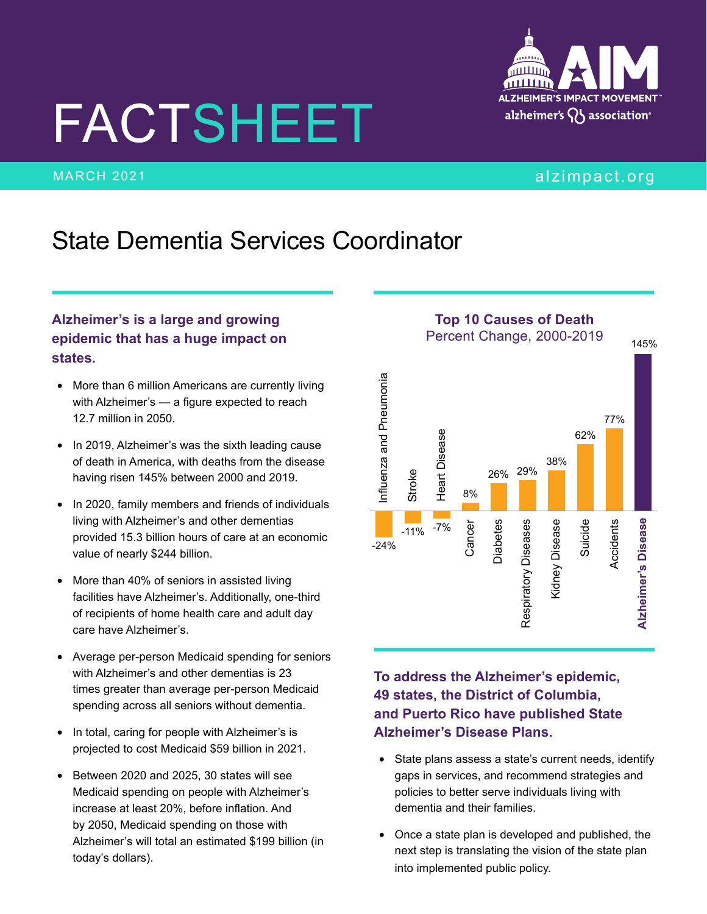# FACTSHEET



## **ALZHEIMER'S IMPACT MOVEMENT** alzheimer's  $\bigcap$  association<sup>®</sup>

#### MARCH 2021 **alias and the contract of the contract of the contract of the contract of the contract of the contract of the contract of the contract of the contract of the contract of the contract of the contract of the cont**

### State Dementia Services Coordinator

#### **Alzheimer's is a large and growing epidemic that has a huge impact on states.**

- More than 6 million Americans are currently living with Alzheimer's — a figure expected to reach 12.7 million in 2050.
- In 2019, Alzheimer's was the sixth leading cause of death in America, with deaths from the disease having risen 145% between 2000 and 2019.
- In 2020, family members and friends of individuals living with Alzheimer's and other dementias provided 15.3 billion hours of care at an economic value of nearly \$244 billion.
- More than 40% of seniors in assisted living facilities have Alzheimer's. Additionally, one-third of recipients of home health care and adult day care have Alzheimer's.
- Average per-person Medicaid spending for seniors with Alzheimer's and other dementias is 23 times greater than average per-person Medicaid spending across all seniors without dementia.
- In total, caring for people with Alzheimer's is projected to cost Medicaid \$59 billion in 2021.
- Between 2020 and 2025, 30 states will see Medicaid spending on people with Alzheimer's increase at least 20%, before inflation. And by 2050, Medicaid spending on those with Alzheimer's will total an estimated \$199 billion (in today's dollars).

**Top 10 Causes of Death** Percent Change, 2000-2019 145% Influenza and Pneumonia Influenza and Pneumonia 77% Heart Disease Heart Disease 62% 38% 26% 29% Stroke 8%Cancer<br>Diabetes<br>Respiratory Diseases<br>Kidney Disease **Alzheimer's Disease**  Suicide **Alzheimer's Disease** Accidents Accidents  $-11\%$  -7% -24%

**To address the Alzheimer's epidemic, 49 states, the District of Columbia, and Puerto Rico have published State Alzheimer's Disease Plans.**

- State plans assess a state's current needs, identify gaps in services, and recommend strategies and policies to better serve individuals living with dementia and their families.
- Once a state plan is developed and published, the next step is translating the vision of the state plan into implemented public policy.